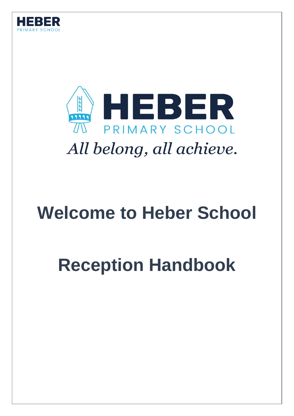



## **Welcome to Heber School**

# **Reception Handbook**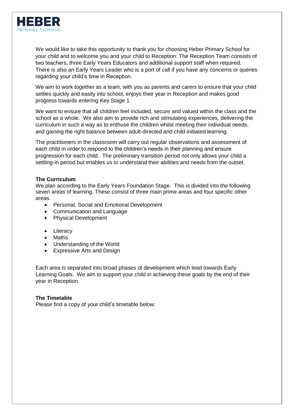

We would like to take this opportunity to thank you for choosing Heber Primary School for your child and to welcome you and your child to Reception. The Reception Team consists of two teachers, three Early Years Educators and additional support staff when required. There is also an Early Years Leader who is a port of call if you have any concerns or queries regarding your child's time in Reception.

We aim to work together as a team, with you as parents and carers to ensure that your child settles quickly and easily into school, enjoys their year in Reception and makes good progress towards entering Key Stage 1.

We want to ensure that all children feel included, secure and valued within the class and the school as a whole. We also aim to provide rich and stimulating experiences, delivering the curriculum in such a way as to enthuse the children whilst meeting their individual needs, and gaining the right balance between adult-directed and child-initiated learning.

The practitioners in the classroom will carry out regular observations and assessment of each child in order to respond to the children's needs in their planning and ensure progression for each child. The preliminary transition period not only allows your child a settling-in period but enables us to understand their abilities and needs from the outset.

## **The Curriculum**

We plan according to the Early Years Foundation Stage. This is divided into the following seven areas of learning. These consist of three main prime areas and four specific other areas.

- Personal, Social and Emotional Development
- Communication and Language
- Physical Development
- Literacy
- Maths
- Understanding of the World
- Expressive Arts and Design

Each area is separated into broad phases of development which lead towards Early Learning Goals. We aim to support your child in achieving these goals by the end of their year in Reception.

#### **The Timetable**

Please find a copy of your child's timetable below: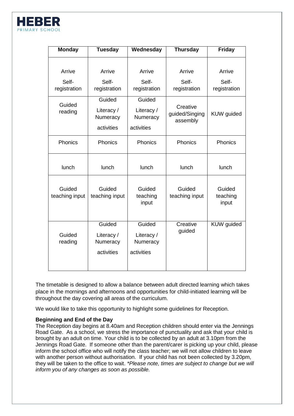

| <b>Monday</b>         | <b>Tuesday</b>         | Wednesday              | <b>Thursday</b>                        | <b>Friday</b>         |
|-----------------------|------------------------|------------------------|----------------------------------------|-----------------------|
| Arrive                | Arrive                 | Arrive                 | Arrive                                 | Arrive                |
|                       |                        |                        |                                        |                       |
| Self-<br>registration | Self-<br>registration  | Self-<br>registration  | Self-<br>registration                  | Self-<br>registration |
|                       |                        |                        |                                        |                       |
| Guided                | Guided                 | Guided                 |                                        |                       |
| reading               | Literacy /<br>Numeracy | Literacy /<br>Numeracy | Creative<br>guided/Singing<br>assembly | KUW guided            |
|                       | activities             | activities             |                                        |                       |
| Phonics               | Phonics                | <b>Phonics</b>         | Phonics                                | Phonics               |
|                       |                        |                        |                                        |                       |
| lunch                 | lunch                  | lunch                  | lunch                                  | lunch                 |
|                       |                        |                        |                                        |                       |
| Guided                | Guided                 | Guided                 | Guided                                 | Guided                |
| teaching input        | teaching input         | teaching<br>input      | teaching input                         | teaching<br>input     |
|                       | Guided                 | Guided                 | Creative                               | <b>KUW</b> guided     |
|                       |                        |                        | guided                                 |                       |
| Guided                | Literacy /             | Literacy /             |                                        |                       |
| reading               | Numeracy               | Numeracy               |                                        |                       |
|                       | activities             | activities             |                                        |                       |
|                       |                        |                        |                                        |                       |

The timetable is designed to allow a balance between adult directed learning which takes place in the mornings and afternoons and opportunities for child-initiated learning will be throughout the day covering all areas of the curriculum.

We would like to take this opportunity to highlight some guidelines for Reception.

## **Beginning and End of the Day**

The Reception day begins at 8.40am and Reception children should enter via the Jennings Road Gate. As a school, we stress the importance of punctuality and ask that your child is brought by an adult on time. Your child is to be collected by an adult at 3.10pm from the Jennings Road Gate. If someone other than the parent/carer is picking up your child, please inform the school office who will notify the class teacher; we will not allow children to leave with another person without authorisation. If your child has not been collected by 3.20pm, they will be taken to the office to wait. *\*Please note, times are subject to change but we will inform you of any changes as soon as possible.*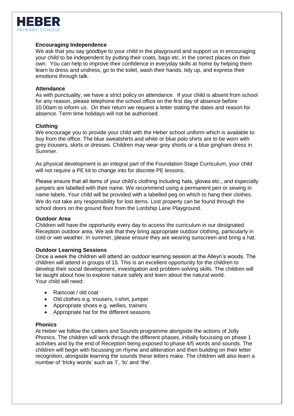

## **Encouraging Independence**

We ask that you say goodbye to your child in the playground and support us in encouraging your child to be independent by putting their coats, bags etc. in the correct places on their own. You can help to improve their confidence in everyday skills at home by helping them learn to dress and undress, go to the toilet, wash their hands, tidy up, and express their emotions through talk.

#### **Attendance**

As with punctuality, we have a strict policy on attendance. If your child is absent from school for any reason, please telephone the school office on the first day of absence before 10.00am to inform us. On their return we request a letter stating the dates and reason for absence. Term time holidays will not be authorised.

#### **Clothing**

We encourage you to provide your child with the Heber school uniform which is available to buy from the office. The blue sweatshirts and white or blue polo shirts are to be worn with grey trousers, skirts or dresses. Children may wear grey shorts or a blue gingham dress in Summer.

As physical development is an integral part of the Foundation Stage Curriculum, your child will not require a PE kit to change into for discrete PE lessons.

Please ensure that all items of your child's clothing including hats, gloves etc., and especially jumpers are labelled with their name. We recommend using a permanent pen or sewing in name labels. Your child will be provided with a labelled peg on which to hang their clothes. We do not take any responsibility for lost items. Lost property can be found through the school doors on the ground floor from the Lordship Lane Playground.

#### **Outdoor Area**

Children will have the opportunity every day to access the curriculum in our designated Reception outdoor area. We ask that they bring appropriate outdoor clothing, particularly in cold or wet weather. In summer, please ensure they are wearing sunscreen and bring a hat.

#### **Outdoor Learning Sessions**

Once a week the children will attend an outdoor learning session at the Alleyn's woods. The children will attend in groups of 15. This is an excellent opportunity for the children to develop their social development, investigation and problem-solving skills. The children will be taught about how to explore nature safely and learn about the natural world. Your child will need:

- Raincoat / old coat
- Old clothes e.g. trousers, t-shirt, jumper
- Appropriate shoes e.g. wellies, trainers
- Appropriate hat for the different seasons

#### **Phonics**

At Heber we follow the Letters and Sounds programme alongside the actions of Jolly Phonics. The children will work through the different phases, initially focussing on phase 1 activities and by the end of Reception being exposed to phase 4/5 words and sounds. The children will begin with focussing on rhyme and alliteration and then building on their letter recognition, alongside learning the sounds these letters make. The children will also learn a number of 'tricky words' such as 'I', 'to' and 'the'.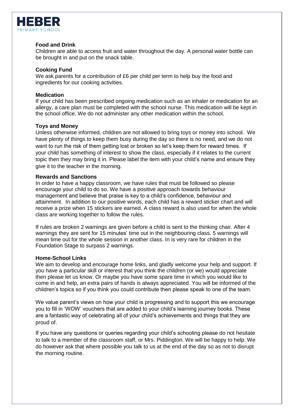

## **Food and Drink**

Children are able to access fruit and water throughout the day. A personal water bottle can be brought in and put on the snack table.

## **Cooking Fund**

We ask parents for a contribution of £6 per child per term to help buy the food and ingredients for our cooking activities.

## **Medication**

If your child has been prescribed ongoing medication such as an inhaler or medication for an allergy, a care plan must be completed with the school nurse. This medication will be kept in the school office. We do not administer any other medication within the school.

## **Toys and Money**

Unless otherwise informed, children are not allowed to bring toys or money into school. We have plenty of things to keep them busy during the day so there is no need, and we do not want to run the risk of them getting lost or broken so let's keep them for reward times. If your child has something of interest to show the class, especially if it relates to the current topic then they may bring it in. Please label the item with your child's name and ensure they give it to the teacher in the morning.

## **Rewards and Sanctions**

In order to have a happy classroom, we have rules that must be followed so please encourage your child to do so. We have a positive approach towards behaviour management and believe that praise is key to a child's confidence, behaviour and attainment. In addition to our positive words, each child has a reward sticker chart and will receive a prize when 15 stickers are earned. A class reward is also used for when the whole class are working together to follow the rules.

If rules are broken 2 warnings are given before a child is sent to the thinking chair. After 4 warnings they are sent for 15 minutes' time out in the neighbouring class. 5 warnings will mean time out for the whole session in another class. In is very rare for children in the Foundation Stage to surpass 2 warnings.

#### **Home-School Links**

We aim to develop and encourage home links, and gladly welcome your help and support. If you have a particular skill or interest that you think the children (or we) would appreciate then please let us know. Or maybe you have some spare time in which you would like to come in and help, an extra pairs of hands is always appreciated. You will be informed of the children's topics so if you think you could contribute then please speak to one of the team.

We value parent's views on how your child is progressing and to support this we encourage you to fill in 'WOW' vouchers that are added to your child's learning journey books. These are a fantastic way of celebrating all of your child's achievements and things that they are proud of.

If you have any questions or queries regarding your child's schooling please do not hesitate to talk to a member of the classroom staff, or Mrs. Piddington. We will be happy to help. We do however ask that where possible you talk to us at the end of the day so as not to disrupt the morning routine.